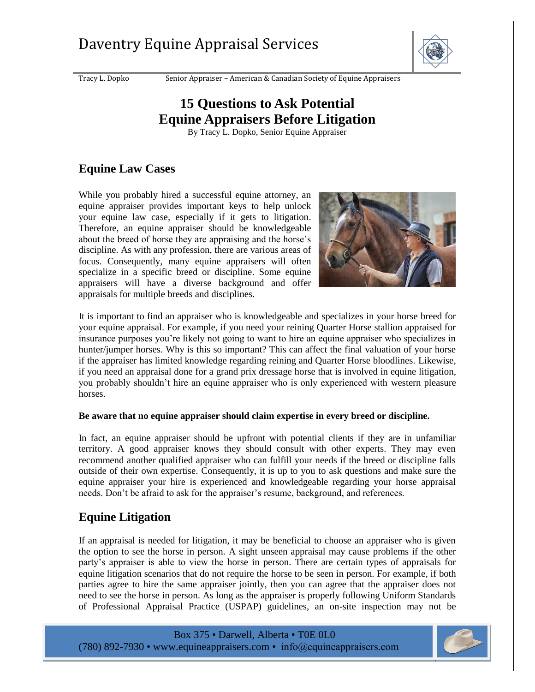# Daventry Equine Appraisal Services



Tracy L. Dopko Senior Appraiser – American & Canadian Society of Equine Appraisers

# **15 Questions to Ask Potential Equine Appraisers Before Litigation**

By Tracy L. Dopko, Senior Equine Appraiser

#### **Equine Law Cases**

While you probably hired a successful equine attorney, an equine appraiser provides important keys to help unlock your equine law case, especially if it gets to litigation. Therefore, an equine appraiser should be knowledgeable about the breed of horse they are appraising and the horse's discipline. As with any profession, there are various areas of focus. Consequently, many equine appraisers will often specialize in a specific breed or discipline. Some equine appraisers will have a diverse background and offer appraisals for multiple breeds and disciplines.



It is important to find an appraiser who is knowledgeable and specializes in your horse breed for your equine appraisal. For example, if you need your reining Quarter Horse stallion appraised for insurance purposes you're likely not going to want to hire an equine appraiser who specializes in hunter/jumper horses. Why is this so important? This can affect the final valuation of your horse if the appraiser has limited knowledge regarding reining and Quarter Horse bloodlines. Likewise, if you need an appraisal done for a grand prix dressage horse that is involved in equine litigation, you probably shouldn't hire an equine appraiser who is only experienced with western pleasure horses.

#### **Be aware that no equine appraiser should claim expertise in every breed or discipline.**

In fact, an equine appraiser should be upfront with potential clients if they are in unfamiliar territory. A good appraiser knows they should consult with other experts. They may even recommend another qualified appraiser who can fulfill your needs if the breed or discipline falls outside of their own expertise. Consequently, it is up to you to ask questions and make sure the equine appraiser your hire is experienced and knowledgeable regarding your horse appraisal needs. Don't be afraid to ask for the appraiser's resume, background, and references.

### **Equine Litigation**

If an appraisal is needed for litigation, it may be beneficial to choose an appraiser who is given the option to see the horse in person. A sight unseen appraisal may cause problems if the other party's appraiser is able to view the horse in person. There are certain types of appraisals for equine litigation scenarios that do not require the horse to be seen in person. For example, if both parties agree to hire the same appraiser jointly, then you can agree that the appraiser does not need to see the horse in person. As long as the appraiser is properly following Uniform Standards of Professional Appraisal Practice (USPAP) guidelines, an on-site inspection may not be

Box 375 • Darwell, Alberta • T0E 0L0 (780) 892-7930 • [www.equineappraisers.com](http://www.equineappraisers.com/) • info@equineappraisers.com



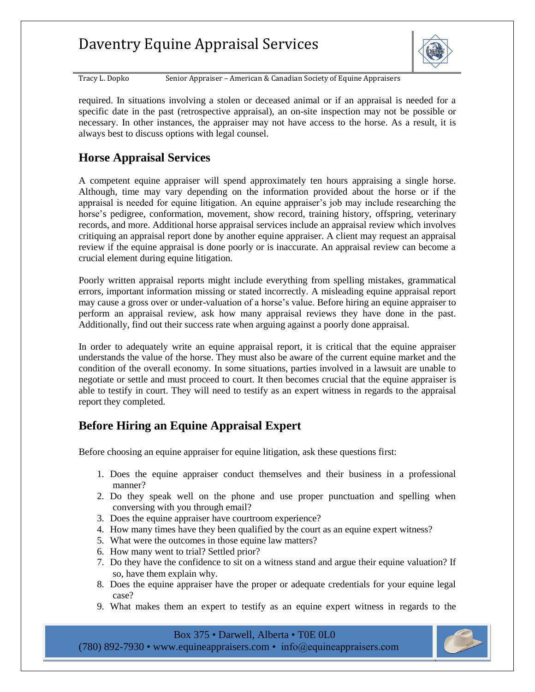# Daventry Equine Appraisal Services



Tracy L. Dopko Senior Appraiser – American & Canadian Society of Equine Appraisers

required. In situations involving a stolen or deceased animal or if an appraisal is needed for a specific date in the past (retrospective appraisal), an on-site inspection may not be possible or necessary. In other instances, the appraiser may not have access to the horse. As a result, it is always best to discuss options with legal counsel.

### **Horse Appraisal Services**

A competent equine appraiser will spend approximately ten hours appraising a single horse. Although, time may vary depending on the information provided about the horse or if the appraisal is needed for equine litigation. An equine appraiser's job may include researching the horse's pedigree, conformation, movement, show record, training history, offspring, veterinary records, and more. Additional horse appraisal services include an appraisal review which involves critiquing an appraisal report done by another equine appraiser. A client may request an appraisal review if the equine appraisal is done poorly or is inaccurate. An appraisal review can become a crucial element during equine litigation.

Poorly written appraisal reports might include everything from spelling mistakes, grammatical errors, important information missing or stated incorrectly. A misleading equine appraisal report may cause a gross over or under-valuation of a horse's value. Before hiring an equine appraiser to perform an appraisal review, ask how many appraisal reviews they have done in the past. Additionally, find out their success rate when arguing against a poorly done appraisal.

In order to adequately write an equine appraisal report, it is critical that the equine appraiser understands the value of the horse. They must also be aware of the current equine market and the condition of the overall economy. In some situations, parties involved in a lawsuit are unable to negotiate or settle and must proceed to court. It then becomes crucial that the equine appraiser is able to testify in court. They will need to testify as an expert witness in regards to the appraisal report they completed.

### **Before Hiring an Equine Appraisal Expert**

Before choosing an equine appraiser for equine litigation, ask these questions first:

- 1. Does the equine appraiser conduct themselves and their business in a professional manner?
- 2. Do they speak well on the phone and use proper punctuation and spelling when conversing with you through email?
- 3. Does the equine appraiser have courtroom experience?
- 4. How many times have they been qualified by the court as an equine expert witness?
- 5. What were the outcomes in those equine law matters?
- 6. How many went to trial? Settled prior?
- 7. Do they have the confidence to sit on a witness stand and argue their equine valuation? If so, have them explain why.
- 8. Does the equine appraiser have the proper or adequate credentials for your equine legal case?
- 9. What makes them an expert to testify as an equine expert witness in regards to the

Box 375 • Darwell, Alberta • T0E 0L0 (780) 892-7930 • [www.equineappraisers.com](http://www.equineappraisers.com/) • info@equineappraisers.com